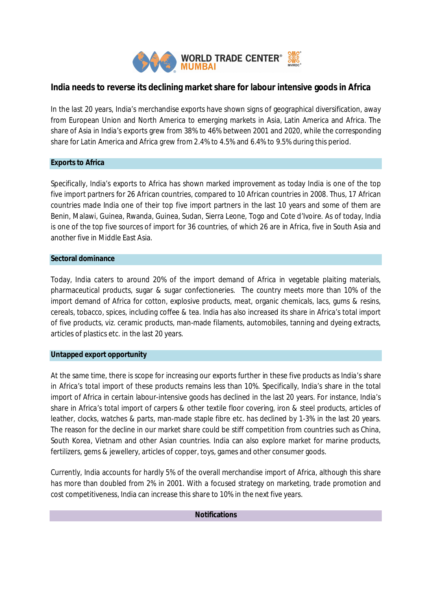

# **India needs to reverse its declining market share for labour intensive goods in Africa**

In the last 20 years, India's merchandise exports have shown signs of geographical diversification, away from European Union and North America to emerging markets in Asia, Latin America and Africa. The share of Asia in India's exports grew from 38% to 46% between 2001 and 2020, while the corresponding share for Latin America and Africa grew from 2.4% to 4.5% and 6.4% to 9.5% during this period.

#### **Exports to Africa**

Specifically, India's exports to Africa has shown marked improvement as today India is one of the top five import partners for 26 African countries, compared to 10 African countries in 2008. Thus, 17 African countries made India one of their top five import partners in the last 10 years and some of them are Benin, Malawi, Guinea, Rwanda, Guinea, Sudan, Sierra Leone, Togo and Cote d'Ivoire. As of today, India is one of the top five sources of import for 36 countries, of which 26 are in Africa, five in South Asia and another five in Middle East Asia.

## **Sectoral dominance**

Today, India caters to around 20% of the import demand of Africa in vegetable plaiting materials, pharmaceutical products, sugar & sugar confectioneries. The country meets more than 10% of the import demand of Africa for cotton, explosive products, meat, organic chemicals, lacs, gums & resins, cereals, tobacco, spices, including coffee & tea. India has also increased its share in Africa's total import of five products, viz. ceramic products, man-made filaments, automobiles, tanning and dyeing extracts, articles of plastics etc. in the last 20 years.

# **Untapped export opportunity**

At the same time, there is scope for increasing our exports further in these five products as India's share in Africa's total import of these products remains less than 10%. Specifically, India's share in the total import of Africa in certain labour-intensive goods has declined in the last 20 years. For instance, India's share in Africa's total import of carpers & other textile floor covering, iron & steel products, articles of leather, clocks, watches & parts, man-made staple fibre etc. has declined by 1-3% in the last 20 years. The reason for the decline in our market share could be stiff competition from countries such as China, South Korea, Vietnam and other Asian countries. India can also explore market for marine products, fertilizers, gems & jewellery, articles of copper, toys, games and other consumer goods.

Currently, India accounts for hardly 5% of the overall merchandise import of Africa, although this share has more than doubled from 2% in 2001. With a focused strategy on marketing, trade promotion and cost competitiveness, India can increase this share to 10% in the next five years.

## **Notifications**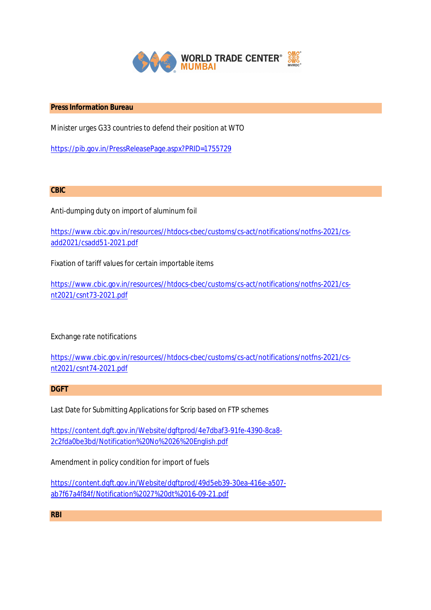

# **Press Information Bureau**

Minister urges G33 countries to defend their position at WTO

https://pib.gov.in/PressReleasePage.aspx?PRID=1755729

**CBIC**

Anti-dumping duty on import of aluminum foil

https://www.cbic.gov.in/resources//htdocs-cbec/customs/cs-act/notifications/notfns-2021/csadd2021/csadd51-2021.pdf

Fixation of tariff values for certain importable items

https://www.cbic.gov.in/resources//htdocs-cbec/customs/cs-act/notifications/notfns-2021/csnt2021/csnt73-2021.pdf

Exchange rate notifications

https://www.cbic.gov.in/resources//htdocs-cbec/customs/cs-act/notifications/notfns-2021/csnt2021/csnt74-2021.pdf

**DGFT**

Last Date for Submitting Applications for Scrip based on FTP schemes

https://content.dgft.gov.in/Website/dgftprod/4e7dbaf3-91fe-4390-8ca8- 2c2fda0be3bd/Notification%20No%2026%20English.pdf

Amendment in policy condition for import of fuels

https://content.dgft.gov.in/Website/dgftprod/49d5eb39-30ea-416e-a507 ab7f67a4f84f/Notification%2027%20dt%2016-09-21.pdf

**RBI**